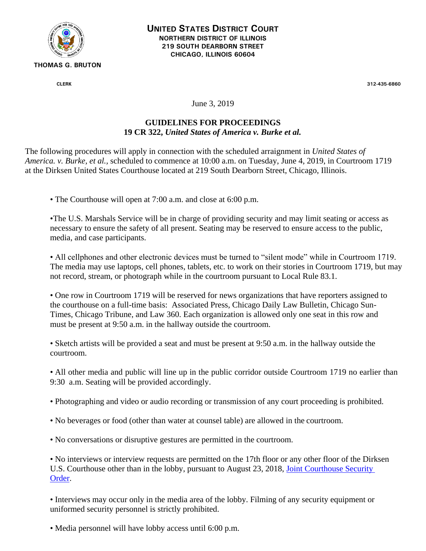

**UNITED STATES DISTRICT COURT NORTHERN DISTRICT OF ILLINOIS 219 SOUTH DEARBORN STREET CHICAGO, ILLINOIS 60604**

**CLERK 312-435-6860**

June 3, 2019

## **GUIDELINES FOR PROCEEDINGS 19 CR 322,** *United States of America v. Burke et al.*

The following procedures will apply in connection with the scheduled arraignment in *United States of America. v. Burke, et al.,* scheduled to commence at 10:00 a.m. on Tuesday, June 4, 2019, in Courtroom 1719 at the Dirksen United States Courthouse located at 219 South Dearborn Street, Chicago, Illinois.

• The Courthouse will open at 7:00 a.m. and close at 6:00 p.m.

•The U.S. Marshals Service will be in charge of providing security and may limit seating or access as necessary to ensure the safety of all present. Seating may be reserved to ensure access to the public, media, and case participants.

• All cellphones and other electronic devices must be turned to "silent mode" while in Courtroom 1719. The media may use laptops, cell phones, tablets, etc. to work on their stories in Courtroom 1719, but may not record, stream, or photograph while in the courtroom pursuant to Local Rule 83.1.

• One row in Courtroom 1719 will be reserved for news organizations that have reporters assigned to the courthouse on a full-time basis: Associated Press, Chicago Daily Law Bulletin, Chicago Sun-Times, Chicago Tribune, and Law 360. Each organization is allowed only one seat in this row and must be present at 9:50 a.m. in the hallway outside the courtroom.

• Sketch artists will be provided a seat and must be present at 9:50 a.m. in the hallway outside the courtroom.

• All other media and public will line up in the public corridor outside Courtroom 1719 no earlier than 9:30 a.m. Seating will be provided accordingly.

- Photographing and video or audio recording or transmission of any court proceeding is prohibited.
- No beverages or food (other than water at counsel table) are allowed in the courtroom.
- No conversations or disruptive gestures are permitted in the courtroom.

• No interviews or interview requests are permitted on the 17th floor or any other floor of the Dirksen U.S. Courthouse other than in the lobby, pursuant to August 23, 2018, [Joint Courthouse](https://www.ilnd.uscourts.gov/_assets/_documents/Joint%20Courthouse%20Security%20Order.pdf) [Security](https://www.ilnd.uscourts.gov/_assets/_documents/Joint%20Courthouse%20Security%20Order.pdf)  [Order.](https://www.ilnd.uscourts.gov/_assets/_documents/Joint%20Courthouse%20Security%20Order.pdf)

• Interviews may occur only in the media area of the lobby. Filming of any security equipment or uniformed security personnel is strictly prohibited.

• Media personnel will have lobby access until 6:00 p.m.